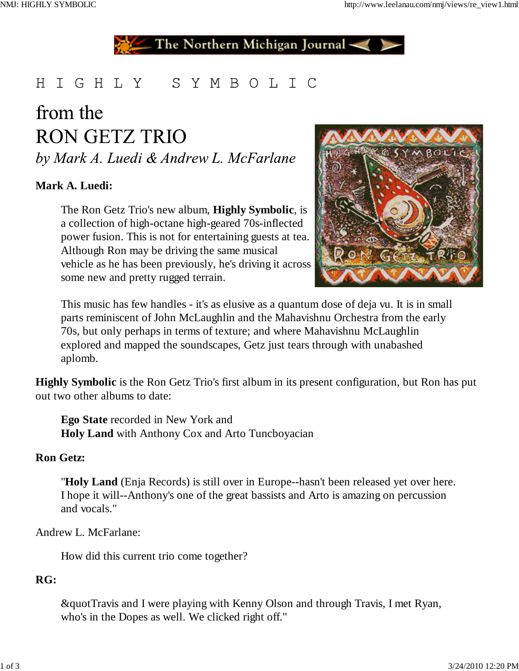The Northern Michigan Journal-

# HIGHLY SYMBOLIC

# from the **RON GETZ TRIO**

by Mark A. Luedi & Andrew L. McFarlane

# **Mark A. Luedi:**

The Ron Getz Trio's new album, **Highly Symbolic**, is a collection of high-octane high-geared 70s-inflected power fusion. This is not for entertaining guests at tea. Although Ron may be driving the same musical vehicle as he has been previously, he's driving it across some new and pretty rugged terrain.



This music has few handles - it's as elusive as a quantum dose of deja vu. It is in small parts reminiscent of John McLaughlin and the Mahavishnu Orchestra from the early 70s, but only perhaps in terms of texture; and where Mahavishnu McLaughlin explored and mapped the soundscapes, Getz just tears through with unabashed aplomb.

**Highly Symbolic** is the Ron Getz Trio's first album in its present configuration, but Ron has put out two other albums to date:

**Ego State** recorded in New York and **Holy Land** with Anthony Cox and Arto Tuncboyacian

#### **Ron Getz:**

"**Holy Land** (Enja Records) is still over in Europe--hasn't been released yet over here. I hope it will--Anthony's one of the great bassists and Arto is amazing on percussion and vocals."

#### Andrew L. McFarlane:

How did this current trio come together?

#### **RG:**

&quotTravis and I were playing with Kenny Olson and through Travis, I met Ryan, who's in the Dopes as well. We clicked right off."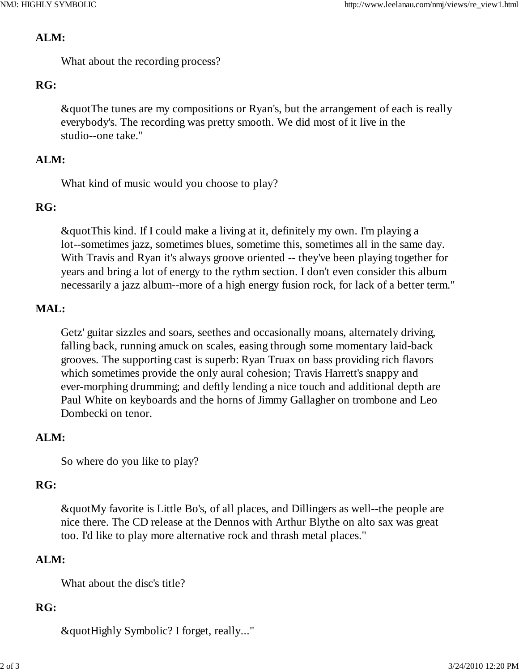#### **ALM:**

What about the recording process?

# **RG:**

&quotThe tunes are my compositions or Ryan's, but the arrangement of each is really everybody's. The recording was pretty smooth. We did most of it live in the studio--one take."

## **ALM:**

What kind of music would you choose to play?

#### **RG:**

&quotThis kind. If I could make a living at it, definitely my own. I'm playing a lot--sometimes jazz, sometimes blues, sometime this, sometimes all in the same day. With Travis and Ryan it's always groove oriented -- they've been playing together for years and bring a lot of energy to the rythm section. I don't even consider this album necessarily a jazz album--more of a high energy fusion rock, for lack of a better term."

## **MAL:**

Getz' guitar sizzles and soars, seethes and occasionally moans, alternately driving, falling back, running amuck on scales, easing through some momentary laid-back grooves. The supporting cast is superb: Ryan Truax on bass providing rich flavors which sometimes provide the only aural cohesion; Travis Harrett's snappy and ever-morphing drumming; and deftly lending a nice touch and additional depth are Paul White on keyboards and the horns of Jimmy Gallagher on trombone and Leo Dombecki on tenor.

#### **ALM:**

So where do you like to play?

# **RG:**

&quotMy favorite is Little Bo's, of all places, and Dillingers as well--the people are nice there. The CD release at the Dennos with Arthur Blythe on alto sax was great too. I'd like to play more alternative rock and thrash metal places."

#### **ALM:**

What about the disc's title?

#### **RG:**

&quotHighly Symbolic? I forget, really..."